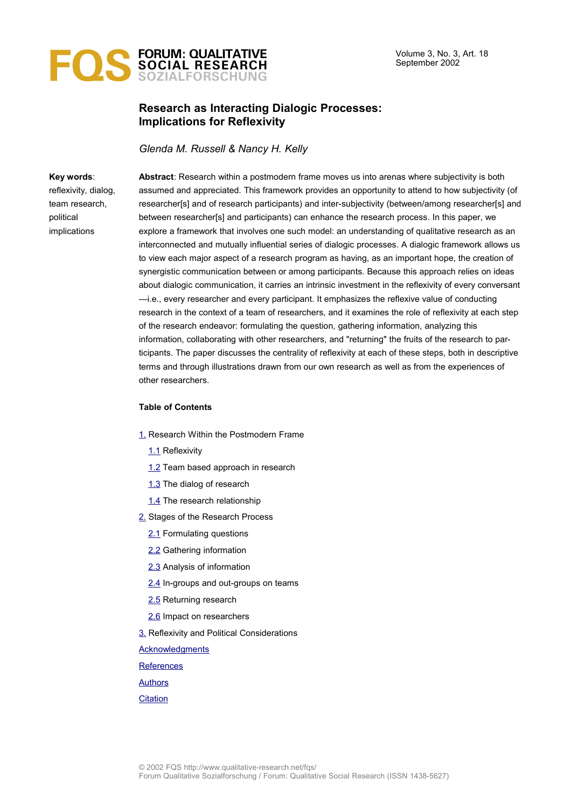

# **Research as Interacting Dialogic Processes: Implications for Reflexivity**

*Glenda M. Russell & Nancy H. Kelly*

#### **Key words**:

reflexivity, dialog, team research, political implications

**Abstract**: Research within a postmodern frame moves us into arenas where subjectivity is both assumed and appreciated. This framework provides an opportunity to attend to how subjectivity (of researcher[s] and of research participants) and inter-subjectivity (between/among researcher[s] and between researcher[s] and participants) can enhance the research process. In this paper, we explore a framework that involves one such model: an understanding of qualitative research as an interconnected and mutually influential series of dialogic processes. A dialogic framework allows us to view each major aspect of a research program as having, as an important hope, the creation of synergistic communication between or among participants. Because this approach relies on ideas about dialogic communication, it carries an intrinsic investment in the reflexivity of every conversant —i.e., every researcher and every participant. It emphasizes the reflexive value of conducting research in the context of a team of researchers, and it examines the role of reflexivity at each step of the research endeavor: formulating the question, gathering information, analyzing this information, collaborating with other researchers, and "returning" the fruits of the research to participants. The paper discusses the centrality of reflexivity at each of these steps, both in descriptive terms and through illustrations drawn from our own research as well as from the experiences of other researchers.

#### **Table of Contents**

- [1.](#page-1-0) Research Within the Postmodern Frame
	- [1.1](#page-1-1) Reflexivity
	- [1.2](#page-2-0) Team based approach in research
	- [1.3](#page-3-0) The dialog of research
	- [1.4](#page-4-0) The research relationship
- [2.](#page-5-0) Stages of the Research Process
	- [2.1](#page-6-1) Formulating questions
	- [2.2](#page-6-0) Gathering information
	- [2.3](#page-9-0) Analysis of information
	- [2.4](#page-10-0) In-groups and out-groups on teams
	- [2.5](#page-11-0) Returning research
	- [2.6](#page-13-0) Impact on researchers
- **3.** Reflexivity and Political Considerations

**[Acknowledgments](#page-15-1)** 

**[References](#page-15-0)** 

[Authors](#page-17-1)

#### **[Citation](#page-17-0)**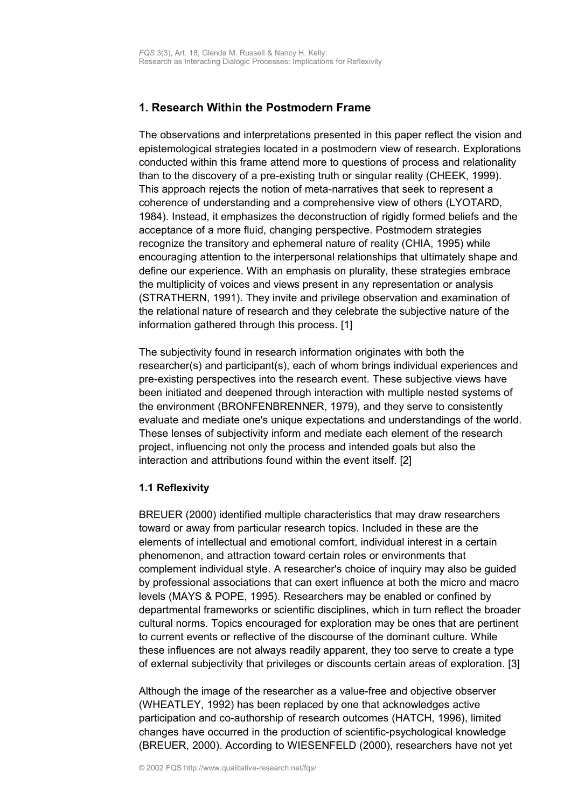# <span id="page-1-0"></span>**1. Research Within the Postmodern Frame**

The observations and interpretations presented in this paper reflect the vision and epistemological strategies located in a postmodern view of research. Explorations conducted within this frame attend more to questions of process and relationality than to the discovery of a pre-existing truth or singular reality (CHEEK, 1999). This approach rejects the notion of meta-narratives that seek to represent a coherence of understanding and a comprehensive view of others (LYOTARD, 1984). Instead, it emphasizes the deconstruction of rigidly formed beliefs and the acceptance of a more fluid, changing perspective. Postmodern strategies recognize the transitory and ephemeral nature of reality (CHIA, 1995) while encouraging attention to the interpersonal relationships that ultimately shape and define our experience. With an emphasis on plurality, these strategies embrace the multiplicity of voices and views present in any representation or analysis (STRATHERN, 1991). They invite and privilege observation and examination of the relational nature of research and they celebrate the subjective nature of the information gathered through this process. [1]

The subjectivity found in research information originates with both the researcher(s) and participant(s), each of whom brings individual experiences and pre-existing perspectives into the research event. These subjective views have been initiated and deepened through interaction with multiple nested systems of the environment (BRONFENBRENNER, 1979), and they serve to consistently evaluate and mediate one's unique expectations and understandings of the world. These lenses of subjectivity inform and mediate each element of the research project, influencing not only the process and intended goals but also the interaction and attributions found within the event itself. [2]

## <span id="page-1-1"></span>**1.1 Reflexivity**

BREUER (2000) identified multiple characteristics that may draw researchers toward or away from particular research topics. Included in these are the elements of intellectual and emotional comfort, individual interest in a certain phenomenon, and attraction toward certain roles or environments that complement individual style. A researcher's choice of inquiry may also be guided by professional associations that can exert influence at both the micro and macro levels (MAYS & POPE, 1995). Researchers may be enabled or confined by departmental frameworks or scientific disciplines, which in turn reflect the broader cultural norms. Topics encouraged for exploration may be ones that are pertinent to current events or reflective of the discourse of the dominant culture. While these influences are not always readily apparent, they too serve to create a type of external subjectivity that privileges or discounts certain areas of exploration. [3]

Although the image of the researcher as a value-free and objective observer (WHEATLEY, 1992) has been replaced by one that acknowledges active participation and co-authorship of research outcomes (HATCH, 1996), limited changes have occurred in the production of scientific-psychological knowledge (BREUER, 2000). According to WIESENFELD (2000), researchers have not yet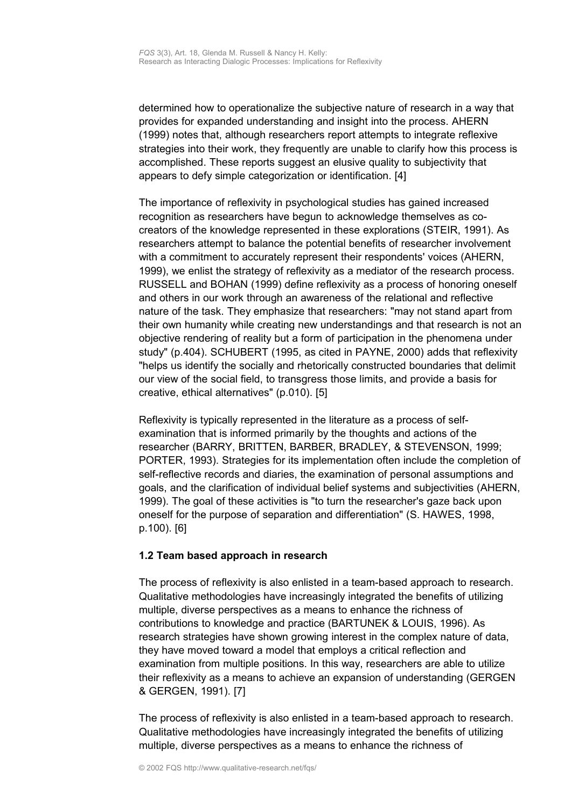determined how to operationalize the subjective nature of research in a way that provides for expanded understanding and insight into the process. AHERN (1999) notes that, although researchers report attempts to integrate reflexive strategies into their work, they frequently are unable to clarify how this process is accomplished. These reports suggest an elusive quality to subjectivity that appears to defy simple categorization or identification. [4]

The importance of reflexivity in psychological studies has gained increased recognition as researchers have begun to acknowledge themselves as cocreators of the knowledge represented in these explorations (STEIR, 1991). As researchers attempt to balance the potential benefits of researcher involvement with a commitment to accurately represent their respondents' voices (AHERN, 1999), we enlist the strategy of reflexivity as a mediator of the research process. RUSSELL and BOHAN (1999) define reflexivity as a process of honoring oneself and others in our work through an awareness of the relational and reflective nature of the task. They emphasize that researchers: "may not stand apart from their own humanity while creating new understandings and that research is not an objective rendering of reality but a form of participation in the phenomena under study" (p.404). SCHUBERT (1995, as cited in PAYNE, 2000) adds that reflexivity "helps us identify the socially and rhetorically constructed boundaries that delimit our view of the social field, to transgress those limits, and provide a basis for creative, ethical alternatives" (p.010). [5]

Reflexivity is typically represented in the literature as a process of selfexamination that is informed primarily by the thoughts and actions of the researcher (BARRY, BRITTEN, BARBER, BRADLEY, & STEVENSON, 1999; PORTER, 1993). Strategies for its implementation often include the completion of self-reflective records and diaries, the examination of personal assumptions and goals, and the clarification of individual belief systems and subjectivities (AHERN, 1999). The goal of these activities is "to turn the researcher's gaze back upon oneself for the purpose of separation and differentiation" (S. HAWES, 1998, p.100). [6]

## <span id="page-2-0"></span>**1.2 Team based approach in research**

The process of reflexivity is also enlisted in a team-based approach to research. Qualitative methodologies have increasingly integrated the benefits of utilizing multiple, diverse perspectives as a means to enhance the richness of contributions to knowledge and practice (BARTUNEK & LOUIS, 1996). As research strategies have shown growing interest in the complex nature of data, they have moved toward a model that employs a critical reflection and examination from multiple positions. In this way, researchers are able to utilize their reflexivity as a means to achieve an expansion of understanding (GERGEN & GERGEN, 1991). [7]

The process of reflexivity is also enlisted in a team-based approach to research. Qualitative methodologies have increasingly integrated the benefits of utilizing multiple, diverse perspectives as a means to enhance the richness of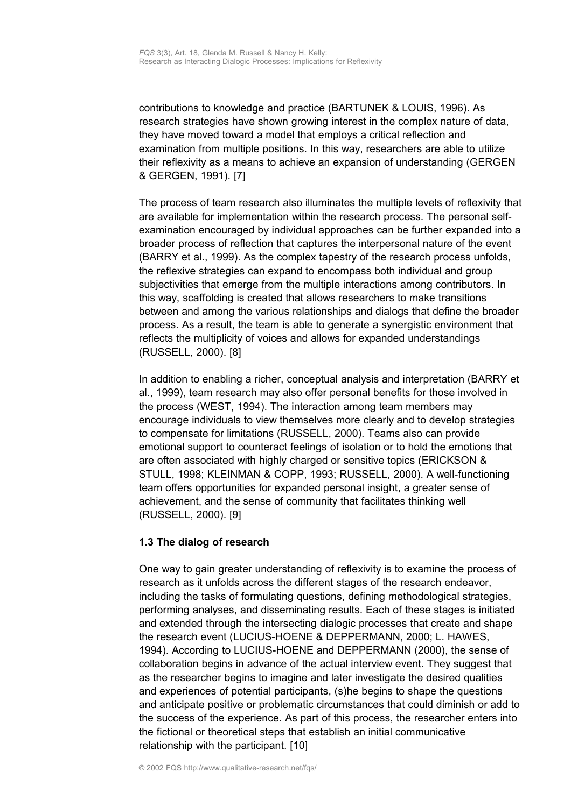contributions to knowledge and practice (BARTUNEK & LOUIS, 1996). As research strategies have shown growing interest in the complex nature of data, they have moved toward a model that employs a critical reflection and examination from multiple positions. In this way, researchers are able to utilize their reflexivity as a means to achieve an expansion of understanding (GERGEN & GERGEN, 1991). [7]

The process of team research also illuminates the multiple levels of reflexivity that are available for implementation within the research process. The personal selfexamination encouraged by individual approaches can be further expanded into a broader process of reflection that captures the interpersonal nature of the event (BARRY et al., 1999). As the complex tapestry of the research process unfolds, the reflexive strategies can expand to encompass both individual and group subjectivities that emerge from the multiple interactions among contributors. In this way, scaffolding is created that allows researchers to make transitions between and among the various relationships and dialogs that define the broader process. As a result, the team is able to generate a synergistic environment that reflects the multiplicity of voices and allows for expanded understandings (RUSSELL, 2000). [8]

In addition to enabling a richer, conceptual analysis and interpretation (BARRY et al., 1999), team research may also offer personal benefits for those involved in the process (WEST, 1994). The interaction among team members may encourage individuals to view themselves more clearly and to develop strategies to compensate for limitations (RUSSELL, 2000). Teams also can provide emotional support to counteract feelings of isolation or to hold the emotions that are often associated with highly charged or sensitive topics (ERICKSON & STULL, 1998; KLEINMAN & COPP, 1993; RUSSELL, 2000). A well-functioning team offers opportunities for expanded personal insight, a greater sense of achievement, and the sense of community that facilitates thinking well (RUSSELL, 2000). [9]

## <span id="page-3-0"></span>**1.3 The dialog of research**

One way to gain greater understanding of reflexivity is to examine the process of research as it unfolds across the different stages of the research endeavor, including the tasks of formulating questions, defining methodological strategies, performing analyses, and disseminating results. Each of these stages is initiated and extended through the intersecting dialogic processes that create and shape the research event (LUCIUS-HOENE & DEPPERMANN, 2000; L. HAWES, 1994). According to LUCIUS-HOENE and DEPPERMANN (2000), the sense of collaboration begins in advance of the actual interview event. They suggest that as the researcher begins to imagine and later investigate the desired qualities and experiences of potential participants, (s)he begins to shape the questions and anticipate positive or problematic circumstances that could diminish or add to the success of the experience. As part of this process, the researcher enters into the fictional or theoretical steps that establish an initial communicative relationship with the participant. [10]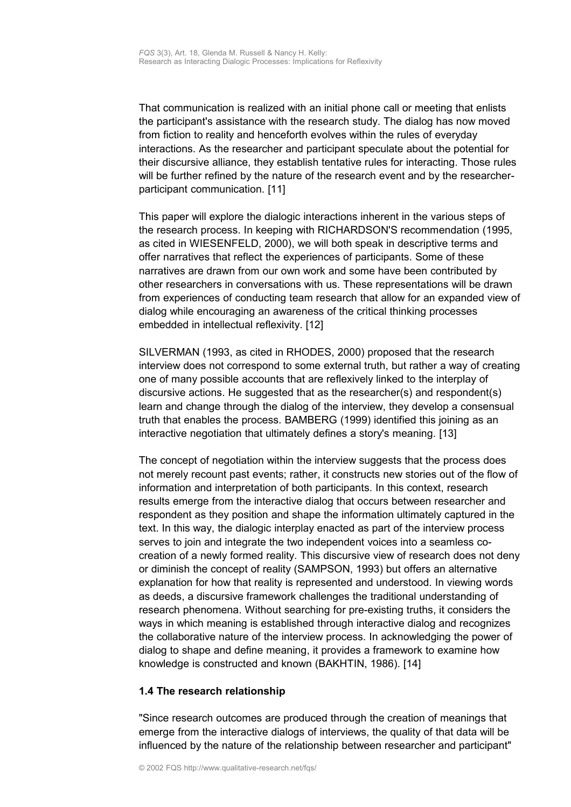That communication is realized with an initial phone call or meeting that enlists the participant's assistance with the research study. The dialog has now moved from fiction to reality and henceforth evolves within the rules of everyday interactions. As the researcher and participant speculate about the potential for their discursive alliance, they establish tentative rules for interacting. Those rules will be further refined by the nature of the research event and by the researcherparticipant communication. [11]

This paper will explore the dialogic interactions inherent in the various steps of the research process. In keeping with RICHARDSON'S recommendation (1995, as cited in WIESENFELD, 2000), we will both speak in descriptive terms and offer narratives that reflect the experiences of participants. Some of these narratives are drawn from our own work and some have been contributed by other researchers in conversations with us. These representations will be drawn from experiences of conducting team research that allow for an expanded view of dialog while encouraging an awareness of the critical thinking processes embedded in intellectual reflexivity. [12]

SILVERMAN (1993, as cited in RHODES, 2000) proposed that the research interview does not correspond to some external truth, but rather a way of creating one of many possible accounts that are reflexively linked to the interplay of discursive actions. He suggested that as the researcher(s) and respondent(s) learn and change through the dialog of the interview, they develop a consensual truth that enables the process. BAMBERG (1999) identified this joining as an interactive negotiation that ultimately defines a story's meaning. [13]

The concept of negotiation within the interview suggests that the process does not merely recount past events; rather, it constructs new stories out of the flow of information and interpretation of both participants. In this context, research results emerge from the interactive dialog that occurs between researcher and respondent as they position and shape the information ultimately captured in the text. In this way, the dialogic interplay enacted as part of the interview process serves to join and integrate the two independent voices into a seamless cocreation of a newly formed reality. This discursive view of research does not deny or diminish the concept of reality (SAMPSON, 1993) but offers an alternative explanation for how that reality is represented and understood. In viewing words as deeds, a discursive framework challenges the traditional understanding of research phenomena. Without searching for pre-existing truths, it considers the ways in which meaning is established through interactive dialog and recognizes the collaborative nature of the interview process. In acknowledging the power of dialog to shape and define meaning, it provides a framework to examine how knowledge is constructed and known (BAKHTIN, 1986). [14]

## <span id="page-4-0"></span>**1.4 The research relationship**

"Since research outcomes are produced through the creation of meanings that emerge from the interactive dialogs of interviews, the quality of that data will be influenced by the nature of the relationship between researcher and participant"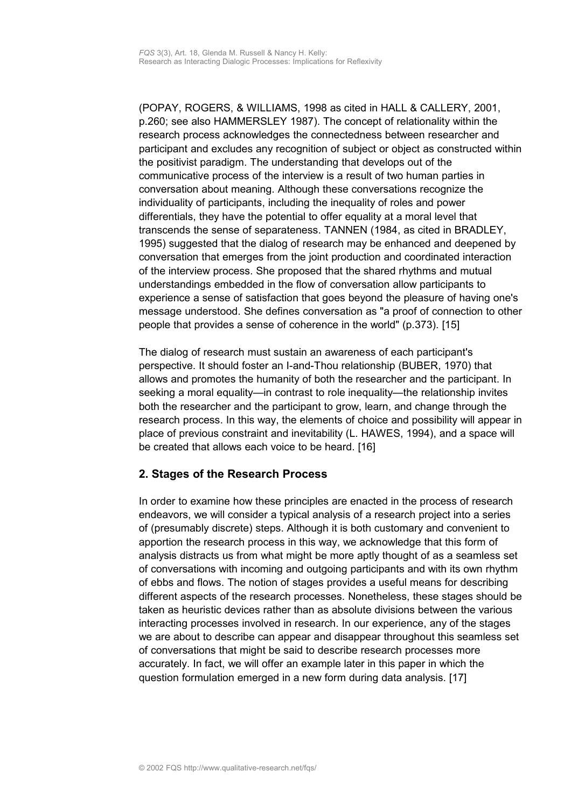(POPAY, ROGERS, & WILLIAMS, 1998 as cited in HALL & CALLERY, 2001, p.260; see also HAMMERSLEY 1987). The concept of relationality within the research process acknowledges the connectedness between researcher and participant and excludes any recognition of subject or object as constructed within the positivist paradigm. The understanding that develops out of the communicative process of the interview is a result of two human parties in conversation about meaning. Although these conversations recognize the individuality of participants, including the inequality of roles and power differentials, they have the potential to offer equality at a moral level that transcends the sense of separateness. TANNEN (1984, as cited in BRADLEY, 1995) suggested that the dialog of research may be enhanced and deepened by conversation that emerges from the joint production and coordinated interaction of the interview process. She proposed that the shared rhythms and mutual understandings embedded in the flow of conversation allow participants to experience a sense of satisfaction that goes beyond the pleasure of having one's message understood. She defines conversation as "a proof of connection to other people that provides a sense of coherence in the world" (p.373). [15]

The dialog of research must sustain an awareness of each participant's perspective. It should foster an I-and-Thou relationship (BUBER, 1970) that allows and promotes the humanity of both the researcher and the participant. In seeking a moral equality—in contrast to role inequality—the relationship invites both the researcher and the participant to grow, learn, and change through the research process. In this way, the elements of choice and possibility will appear in place of previous constraint and inevitability (L. HAWES, 1994), and a space will be created that allows each voice to be heard. [16]

## <span id="page-5-0"></span>**2. Stages of the Research Process**

In order to examine how these principles are enacted in the process of research endeavors, we will consider a typical analysis of a research project into a series of (presumably discrete) steps. Although it is both customary and convenient to apportion the research process in this way, we acknowledge that this form of analysis distracts us from what might be more aptly thought of as a seamless set of conversations with incoming and outgoing participants and with its own rhythm of ebbs and flows. The notion of stages provides a useful means for describing different aspects of the research processes. Nonetheless, these stages should be taken as heuristic devices rather than as absolute divisions between the various interacting processes involved in research. In our experience, any of the stages we are about to describe can appear and disappear throughout this seamless set of conversations that might be said to describe research processes more accurately. In fact, we will offer an example later in this paper in which the question formulation emerged in a new form during data analysis. [17]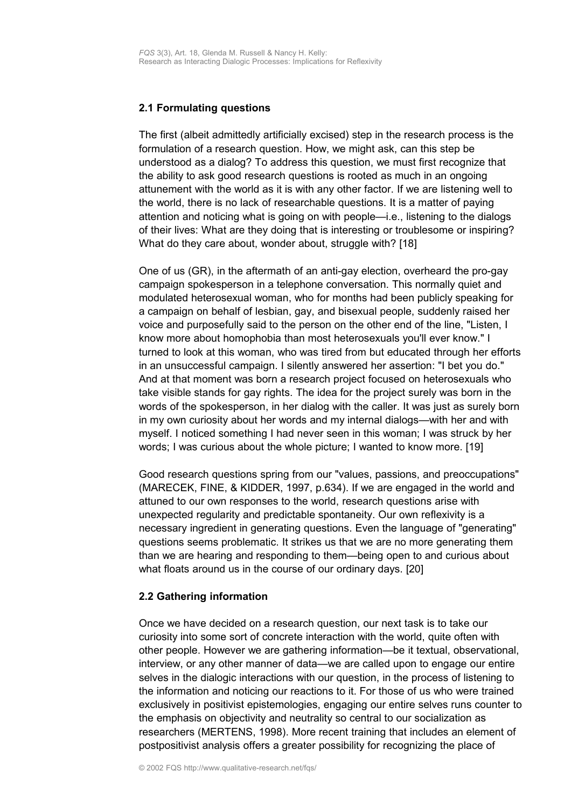## <span id="page-6-1"></span>**2.1 Formulating questions**

The first (albeit admittedly artificially excised) step in the research process is the formulation of a research question. How, we might ask, can this step be understood as a dialog? To address this question, we must first recognize that the ability to ask good research questions is rooted as much in an ongoing attunement with the world as it is with any other factor. If we are listening well to the world, there is no lack of researchable questions. It is a matter of paying attention and noticing what is going on with people—i.e., listening to the dialogs of their lives: What are they doing that is interesting or troublesome or inspiring? What do they care about, wonder about, struggle with? [18]

One of us (GR), in the aftermath of an anti-gay election, overheard the pro-gay campaign spokesperson in a telephone conversation. This normally quiet and modulated heterosexual woman, who for months had been publicly speaking for a campaign on behalf of lesbian, gay, and bisexual people, suddenly raised her voice and purposefully said to the person on the other end of the line, "Listen, I know more about homophobia than most heterosexuals you'll ever know." I turned to look at this woman, who was tired from but educated through her efforts in an unsuccessful campaign. I silently answered her assertion: "I bet you do." And at that moment was born a research project focused on heterosexuals who take visible stands for gay rights. The idea for the project surely was born in the words of the spokesperson, in her dialog with the caller. It was just as surely born in my own curiosity about her words and my internal dialogs—with her and with myself. I noticed something I had never seen in this woman; I was struck by her words; I was curious about the whole picture; I wanted to know more. [19]

Good research questions spring from our "values, passions, and preoccupations" (MARECEK, FINE, & KIDDER, 1997, p.634). If we are engaged in the world and attuned to our own responses to the world, research questions arise with unexpected regularity and predictable spontaneity. Our own reflexivity is a necessary ingredient in generating questions. Even the language of "generating" questions seems problematic. It strikes us that we are no more generating them than we are hearing and responding to them—being open to and curious about what floats around us in the course of our ordinary days. [20]

## <span id="page-6-0"></span>**2.2 Gathering information**

Once we have decided on a research question, our next task is to take our curiosity into some sort of concrete interaction with the world, quite often with other people. However we are gathering information—be it textual, observational, interview, or any other manner of data—we are called upon to engage our entire selves in the dialogic interactions with our question, in the process of listening to the information and noticing our reactions to it. For those of us who were trained exclusively in positivist epistemologies, engaging our entire selves runs counter to the emphasis on objectivity and neutrality so central to our socialization as researchers (MERTENS, 1998). More recent training that includes an element of postpositivist analysis offers a greater possibility for recognizing the place of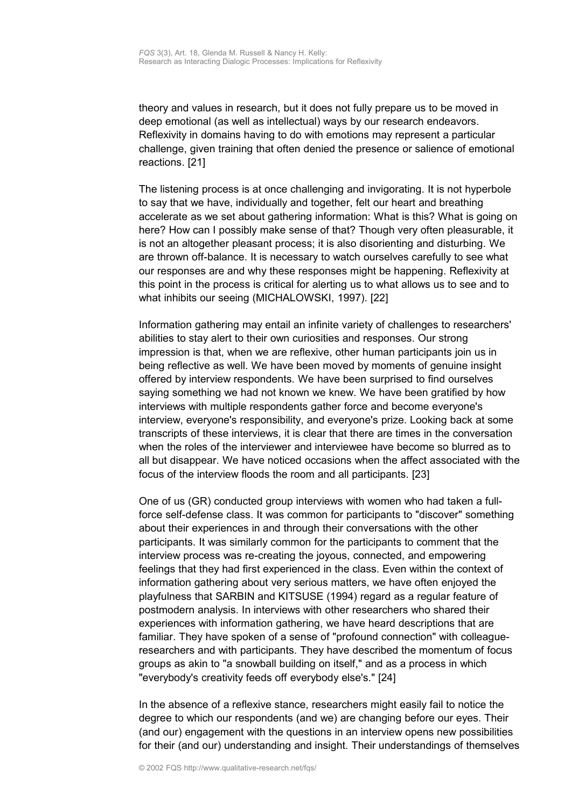theory and values in research, but it does not fully prepare us to be moved in deep emotional (as well as intellectual) ways by our research endeavors. Reflexivity in domains having to do with emotions may represent a particular challenge, given training that often denied the presence or salience of emotional reactions. [21]

The listening process is at once challenging and invigorating. It is not hyperbole to say that we have, individually and together, felt our heart and breathing accelerate as we set about gathering information: What is this? What is going on here? How can I possibly make sense of that? Though very often pleasurable, it is not an altogether pleasant process; it is also disorienting and disturbing. We are thrown off-balance. It is necessary to watch ourselves carefully to see what our responses are and why these responses might be happening. Reflexivity at this point in the process is critical for alerting us to what allows us to see and to what inhibits our seeing (MICHALOWSKI, 1997). [22]

Information gathering may entail an infinite variety of challenges to researchers' abilities to stay alert to their own curiosities and responses. Our strong impression is that, when we are reflexive, other human participants join us in being reflective as well. We have been moved by moments of genuine insight offered by interview respondents. We have been surprised to find ourselves saying something we had not known we knew. We have been gratified by how interviews with multiple respondents gather force and become everyone's interview, everyone's responsibility, and everyone's prize. Looking back at some transcripts of these interviews, it is clear that there are times in the conversation when the roles of the interviewer and interviewee have become so blurred as to all but disappear. We have noticed occasions when the affect associated with the focus of the interview floods the room and all participants. [23]

One of us (GR) conducted group interviews with women who had taken a fullforce self-defense class. It was common for participants to "discover" something about their experiences in and through their conversations with the other participants. It was similarly common for the participants to comment that the interview process was re-creating the joyous, connected, and empowering feelings that they had first experienced in the class. Even within the context of information gathering about very serious matters, we have often enjoyed the playfulness that SARBIN and KITSUSE (1994) regard as a regular feature of postmodern analysis. In interviews with other researchers who shared their experiences with information gathering, we have heard descriptions that are familiar. They have spoken of a sense of "profound connection" with colleagueresearchers and with participants. They have described the momentum of focus groups as akin to "a snowball building on itself," and as a process in which "everybody's creativity feeds off everybody else's." [24]

In the absence of a reflexive stance, researchers might easily fail to notice the degree to which our respondents (and we) are changing before our eyes. Their (and our) engagement with the questions in an interview opens new possibilities for their (and our) understanding and insight. Their understandings of themselves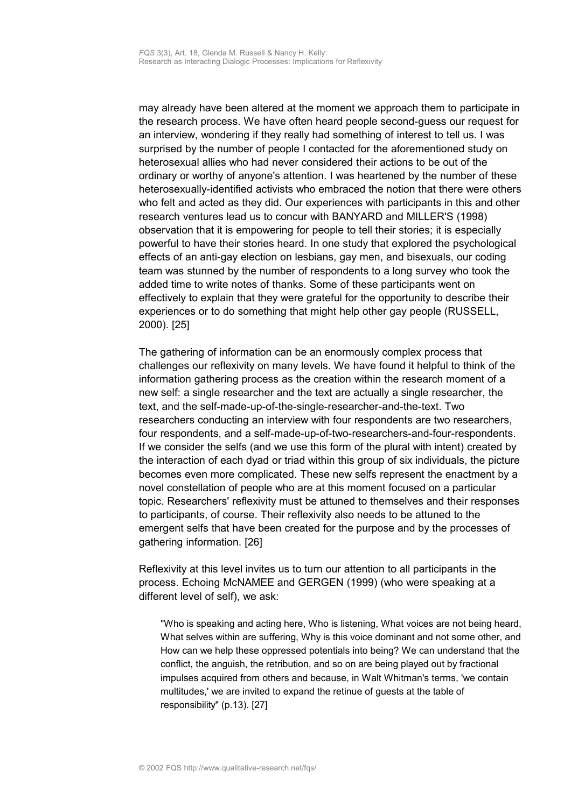may already have been altered at the moment we approach them to participate in the research process. We have often heard people second-guess our request for an interview, wondering if they really had something of interest to tell us. I was surprised by the number of people I contacted for the aforementioned study on heterosexual allies who had never considered their actions to be out of the ordinary or worthy of anyone's attention. I was heartened by the number of these heterosexually-identified activists who embraced the notion that there were others who felt and acted as they did. Our experiences with participants in this and other research ventures lead us to concur with BANYARD and MILLER'S (1998) observation that it is empowering for people to tell their stories; it is especially powerful to have their stories heard. In one study that explored the psychological effects of an anti-gay election on lesbians, gay men, and bisexuals, our coding team was stunned by the number of respondents to a long survey who took the added time to write notes of thanks. Some of these participants went on effectively to explain that they were grateful for the opportunity to describe their experiences or to do something that might help other gay people (RUSSELL, 2000). [25]

The gathering of information can be an enormously complex process that challenges our reflexivity on many levels. We have found it helpful to think of the information gathering process as the creation within the research moment of a new self: a single researcher and the text are actually a single researcher, the text, and the self-made-up-of-the-single-researcher-and-the-text. Two researchers conducting an interview with four respondents are two researchers, four respondents, and a self-made-up-of-two-researchers-and-four-respondents. If we consider the selfs (and we use this form of the plural with intent) created by the interaction of each dyad or triad within this group of six individuals, the picture becomes even more complicated. These new selfs represent the enactment by a novel constellation of people who are at this moment focused on a particular topic. Researchers' reflexivity must be attuned to themselves and their responses to participants, of course. Their reflexivity also needs to be attuned to the emergent selfs that have been created for the purpose and by the processes of gathering information. [26]

Reflexivity at this level invites us to turn our attention to all participants in the process. Echoing McNAMEE and GERGEN (1999) (who were speaking at a different level of self), we ask:

"Who is speaking and acting here, Who is listening, What voices are not being heard, What selves within are suffering, Why is this voice dominant and not some other, and How can we help these oppressed potentials into being? We can understand that the conflict, the anguish, the retribution, and so on are being played out by fractional impulses acquired from others and because, in Walt Whitman's terms, 'we contain multitudes,' we are invited to expand the retinue of guests at the table of responsibility" (p.13). [27]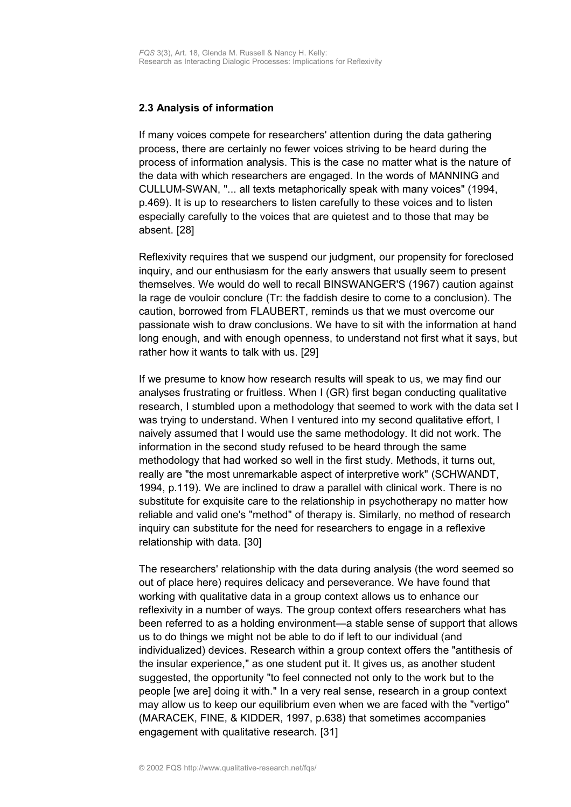## <span id="page-9-0"></span>**2.3 Analysis of information**

If many voices compete for researchers' attention during the data gathering process, there are certainly no fewer voices striving to be heard during the process of information analysis. This is the case no matter what is the nature of the data with which researchers are engaged. In the words of MANNING and CULLUM-SWAN, "... all texts metaphorically speak with many voices" (1994, p.469). It is up to researchers to listen carefully to these voices and to listen especially carefully to the voices that are quietest and to those that may be absent. [28]

Reflexivity requires that we suspend our judgment, our propensity for foreclosed inquiry, and our enthusiasm for the early answers that usually seem to present themselves. We would do well to recall BINSWANGER'S (1967) caution against la rage de vouloir conclure (Tr: the faddish desire to come to a conclusion). The caution, borrowed from FLAUBERT, reminds us that we must overcome our passionate wish to draw conclusions. We have to sit with the information at hand long enough, and with enough openness, to understand not first what it says, but rather how it wants to talk with us. [29]

If we presume to know how research results will speak to us, we may find our analyses frustrating or fruitless. When I (GR) first began conducting qualitative research, I stumbled upon a methodology that seemed to work with the data set I was trying to understand. When I ventured into my second qualitative effort, I naively assumed that I would use the same methodology. It did not work. The information in the second study refused to be heard through the same methodology that had worked so well in the first study. Methods, it turns out, really are "the most unremarkable aspect of interpretive work" (SCHWANDT, 1994, p.119). We are inclined to draw a parallel with clinical work. There is no substitute for exquisite care to the relationship in psychotherapy no matter how reliable and valid one's "method" of therapy is. Similarly, no method of research inquiry can substitute for the need for researchers to engage in a reflexive relationship with data. [30]

The researchers' relationship with the data during analysis (the word seemed so out of place here) requires delicacy and perseverance. We have found that working with qualitative data in a group context allows us to enhance our reflexivity in a number of ways. The group context offers researchers what has been referred to as a holding environment—a stable sense of support that allows us to do things we might not be able to do if left to our individual (and individualized) devices. Research within a group context offers the "antithesis of the insular experience," as one student put it. It gives us, as another student suggested, the opportunity "to feel connected not only to the work but to the people [we are] doing it with." In a very real sense, research in a group context may allow us to keep our equilibrium even when we are faced with the "vertigo" (MARACEK, FINE, & KIDDER, 1997, p.638) that sometimes accompanies engagement with qualitative research. [31]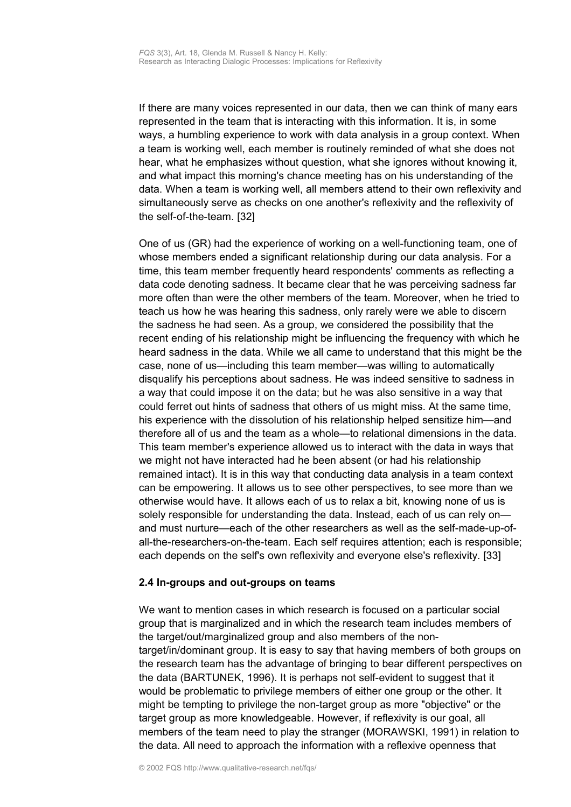If there are many voices represented in our data, then we can think of many ears represented in the team that is interacting with this information. It is, in some ways, a humbling experience to work with data analysis in a group context. When a team is working well, each member is routinely reminded of what she does not hear, what he emphasizes without question, what she ignores without knowing it, and what impact this morning's chance meeting has on his understanding of the data. When a team is working well, all members attend to their own reflexivity and simultaneously serve as checks on one another's reflexivity and the reflexivity of the self-of-the-team. [32]

One of us (GR) had the experience of working on a well-functioning team, one of whose members ended a significant relationship during our data analysis. For a time, this team member frequently heard respondents' comments as reflecting a data code denoting sadness. It became clear that he was perceiving sadness far more often than were the other members of the team. Moreover, when he tried to teach us how he was hearing this sadness, only rarely were we able to discern the sadness he had seen. As a group, we considered the possibility that the recent ending of his relationship might be influencing the frequency with which he heard sadness in the data. While we all came to understand that this might be the case, none of us—including this team member—was willing to automatically disqualify his perceptions about sadness. He was indeed sensitive to sadness in a way that could impose it on the data; but he was also sensitive in a way that could ferret out hints of sadness that others of us might miss. At the same time, his experience with the dissolution of his relationship helped sensitize him—and therefore all of us and the team as a whole—to relational dimensions in the data. This team member's experience allowed us to interact with the data in ways that we might not have interacted had he been absent (or had his relationship remained intact). It is in this way that conducting data analysis in a team context can be empowering. It allows us to see other perspectives, to see more than we otherwise would have. It allows each of us to relax a bit, knowing none of us is solely responsible for understanding the data. Instead, each of us can rely on and must nurture—each of the other researchers as well as the self-made-up-ofall-the-researchers-on-the-team. Each self requires attention; each is responsible; each depends on the self's own reflexivity and everyone else's reflexivity. [33]

#### <span id="page-10-0"></span>**2.4 In-groups and out-groups on teams**

We want to mention cases in which research is focused on a particular social group that is marginalized and in which the research team includes members of the target/out/marginalized group and also members of the nontarget/in/dominant group. It is easy to say that having members of both groups on the research team has the advantage of bringing to bear different perspectives on the data (BARTUNEK, 1996). It is perhaps not self-evident to suggest that it would be problematic to privilege members of either one group or the other. It might be tempting to privilege the non-target group as more "objective" or the target group as more knowledgeable. However, if reflexivity is our goal, all members of the team need to play the stranger (MORAWSKI, 1991) in relation to the data. All need to approach the information with a reflexive openness that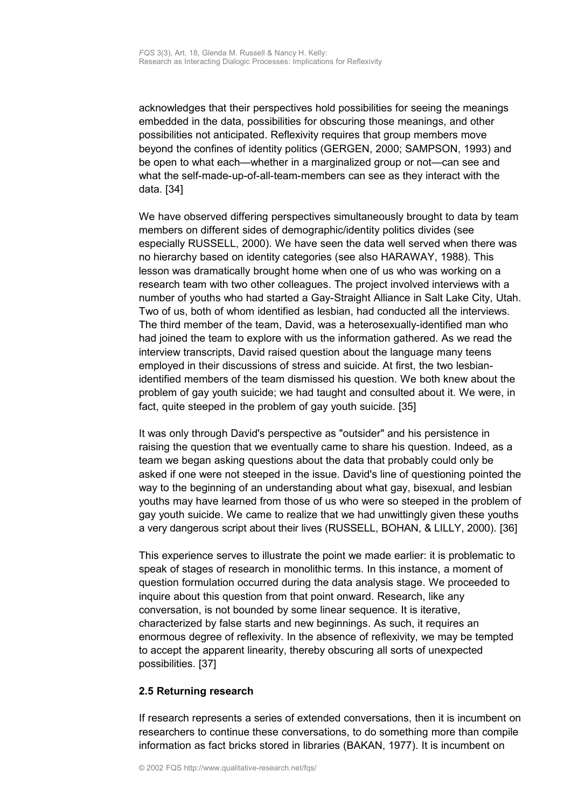acknowledges that their perspectives hold possibilities for seeing the meanings embedded in the data, possibilities for obscuring those meanings, and other possibilities not anticipated. Reflexivity requires that group members move beyond the confines of identity politics (GERGEN, 2000; SAMPSON, 1993) and be open to what each—whether in a marginalized group or not—can see and what the self-made-up-of-all-team-members can see as they interact with the data. [34]

We have observed differing perspectives simultaneously brought to data by team members on different sides of demographic/identity politics divides (see especially RUSSELL, 2000). We have seen the data well served when there was no hierarchy based on identity categories (see also HARAWAY, 1988). This lesson was dramatically brought home when one of us who was working on a research team with two other colleagues. The project involved interviews with a number of youths who had started a Gay-Straight Alliance in Salt Lake City, Utah. Two of us, both of whom identified as lesbian, had conducted all the interviews. The third member of the team, David, was a heterosexually-identified man who had joined the team to explore with us the information gathered. As we read the interview transcripts, David raised question about the language many teens employed in their discussions of stress and suicide. At first, the two lesbianidentified members of the team dismissed his question. We both knew about the problem of gay youth suicide; we had taught and consulted about it. We were, in fact, quite steeped in the problem of gay youth suicide. [35]

It was only through David's perspective as "outsider" and his persistence in raising the question that we eventually came to share his question. Indeed, as a team we began asking questions about the data that probably could only be asked if one were not steeped in the issue. David's line of questioning pointed the way to the beginning of an understanding about what gay, bisexual, and lesbian youths may have learned from those of us who were so steeped in the problem of gay youth suicide. We came to realize that we had unwittingly given these youths a very dangerous script about their lives (RUSSELL, BOHAN, & LILLY, 2000). [36]

This experience serves to illustrate the point we made earlier: it is problematic to speak of stages of research in monolithic terms. In this instance, a moment of question formulation occurred during the data analysis stage. We proceeded to inquire about this question from that point onward. Research, like any conversation, is not bounded by some linear sequence. It is iterative, characterized by false starts and new beginnings. As such, it requires an enormous degree of reflexivity. In the absence of reflexivity, we may be tempted to accept the apparent linearity, thereby obscuring all sorts of unexpected possibilities. [37]

## <span id="page-11-0"></span>**2.5 Returning research**

If research represents a series of extended conversations, then it is incumbent on researchers to continue these conversations, to do something more than compile information as fact bricks stored in libraries (BAKAN, 1977). It is incumbent on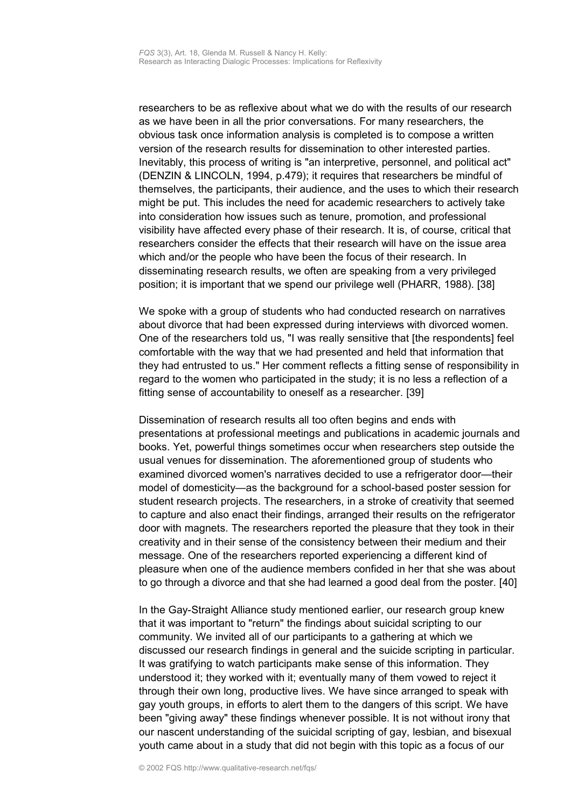researchers to be as reflexive about what we do with the results of our research as we have been in all the prior conversations. For many researchers, the obvious task once information analysis is completed is to compose a written version of the research results for dissemination to other interested parties. Inevitably, this process of writing is "an interpretive, personnel, and political act" (DENZIN & LINCOLN, 1994, p.479); it requires that researchers be mindful of themselves, the participants, their audience, and the uses to which their research might be put. This includes the need for academic researchers to actively take into consideration how issues such as tenure, promotion, and professional visibility have affected every phase of their research. It is, of course, critical that researchers consider the effects that their research will have on the issue area which and/or the people who have been the focus of their research. In disseminating research results, we often are speaking from a very privileged position; it is important that we spend our privilege well (PHARR, 1988). [38]

We spoke with a group of students who had conducted research on narratives about divorce that had been expressed during interviews with divorced women. One of the researchers told us, "I was really sensitive that [the respondents] feel comfortable with the way that we had presented and held that information that they had entrusted to us." Her comment reflects a fitting sense of responsibility in regard to the women who participated in the study; it is no less a reflection of a fitting sense of accountability to oneself as a researcher. [39]

Dissemination of research results all too often begins and ends with presentations at professional meetings and publications in academic journals and books. Yet, powerful things sometimes occur when researchers step outside the usual venues for dissemination. The aforementioned group of students who examined divorced women's narratives decided to use a refrigerator door—their model of domesticity—as the background for a school-based poster session for student research projects. The researchers, in a stroke of creativity that seemed to capture and also enact their findings, arranged their results on the refrigerator door with magnets. The researchers reported the pleasure that they took in their creativity and in their sense of the consistency between their medium and their message. One of the researchers reported experiencing a different kind of pleasure when one of the audience members confided in her that she was about to go through a divorce and that she had learned a good deal from the poster. [40]

In the Gay-Straight Alliance study mentioned earlier, our research group knew that it was important to "return" the findings about suicidal scripting to our community. We invited all of our participants to a gathering at which we discussed our research findings in general and the suicide scripting in particular. It was gratifying to watch participants make sense of this information. They understood it; they worked with it; eventually many of them vowed to reject it through their own long, productive lives. We have since arranged to speak with gay youth groups, in efforts to alert them to the dangers of this script. We have been "giving away" these findings whenever possible. It is not without irony that our nascent understanding of the suicidal scripting of gay, lesbian, and bisexual youth came about in a study that did not begin with this topic as a focus of our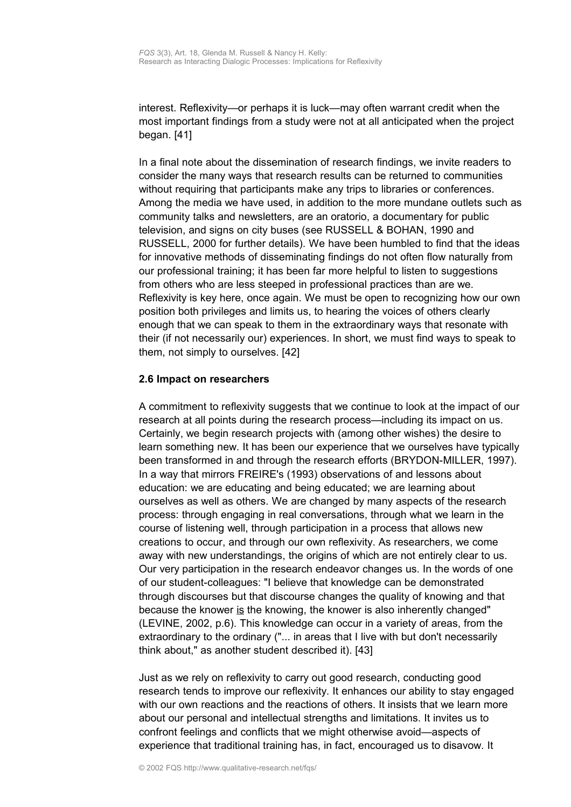interest. Reflexivity—or perhaps it is luck—may often warrant credit when the most important findings from a study were not at all anticipated when the project began. [41]

In a final note about the dissemination of research findings, we invite readers to consider the many ways that research results can be returned to communities without requiring that participants make any trips to libraries or conferences. Among the media we have used, in addition to the more mundane outlets such as community talks and newsletters, are an oratorio, a documentary for public television, and signs on city buses (see RUSSELL & BOHAN, 1990 and RUSSELL, 2000 for further details). We have been humbled to find that the ideas for innovative methods of disseminating findings do not often flow naturally from our professional training; it has been far more helpful to listen to suggestions from others who are less steeped in professional practices than are we. Reflexivity is key here, once again. We must be open to recognizing how our own position both privileges and limits us, to hearing the voices of others clearly enough that we can speak to them in the extraordinary ways that resonate with their (if not necessarily our) experiences. In short, we must find ways to speak to them, not simply to ourselves. [42]

## <span id="page-13-0"></span>**2.6 Impact on researchers**

A commitment to reflexivity suggests that we continue to look at the impact of our research at all points during the research process—including its impact on us. Certainly, we begin research projects with (among other wishes) the desire to learn something new. It has been our experience that we ourselves have typically been transformed in and through the research efforts (BRYDON-MILLER, 1997). In a way that mirrors FREIRE's (1993) observations of and lessons about education: we are educating and being educated; we are learning about ourselves as well as others. We are changed by many aspects of the research process: through engaging in real conversations, through what we learn in the course of listening well, through participation in a process that allows new creations to occur, and through our own reflexivity. As researchers, we come away with new understandings, the origins of which are not entirely clear to us. Our very participation in the research endeavor changes us. In the words of one of our student-colleagues: "I believe that knowledge can be demonstrated through discourses but that discourse changes the quality of knowing and that because the knower is the knowing, the knower is also inherently changed" (LEVINE, 2002, p.6). This knowledge can occur in a variety of areas, from the extraordinary to the ordinary ("... in areas that I live with but don't necessarily think about," as another student described it). [43]

Just as we rely on reflexivity to carry out good research, conducting good research tends to improve our reflexivity. It enhances our ability to stay engaged with our own reactions and the reactions of others. It insists that we learn more about our personal and intellectual strengths and limitations. It invites us to confront feelings and conflicts that we might otherwise avoid—aspects of experience that traditional training has, in fact, encouraged us to disavow. It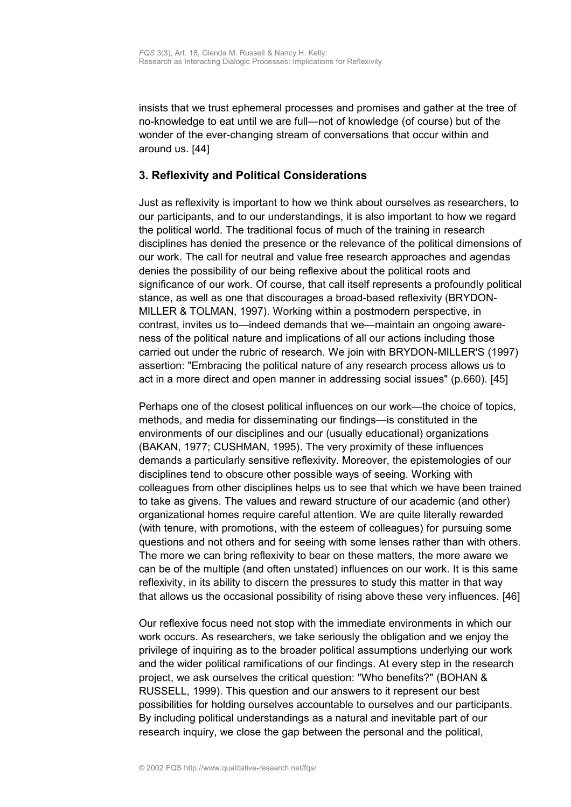insists that we trust ephemeral processes and promises and gather at the tree of no-knowledge to eat until we are full—not of knowledge (of course) but of the wonder of the ever-changing stream of conversations that occur within and around us. [44]

# <span id="page-14-0"></span>**3. Reflexivity and Political Considerations**

Just as reflexivity is important to how we think about ourselves as researchers, to our participants, and to our understandings, it is also important to how we regard the political world. The traditional focus of much of the training in research disciplines has denied the presence or the relevance of the political dimensions of our work. The call for neutral and value free research approaches and agendas denies the possibility of our being reflexive about the political roots and significance of our work. Of course, that call itself represents a profoundly political stance, as well as one that discourages a broad-based reflexivity (BRYDON-MILLER & TOLMAN, 1997). Working within a postmodern perspective, in contrast, invites us to—indeed demands that we—maintain an ongoing awareness of the political nature and implications of all our actions including those carried out under the rubric of research. We join with BRYDON-MILLER'S (1997) assertion: "Embracing the political nature of any research process allows us to act in a more direct and open manner in addressing social issues" (p.660). [45]

Perhaps one of the closest political influences on our work—the choice of topics, methods, and media for disseminating our findings—is constituted in the environments of our disciplines and our (usually educational) organizations (BAKAN, 1977; CUSHMAN, 1995). The very proximity of these influences demands a particularly sensitive reflexivity. Moreover, the epistemologies of our disciplines tend to obscure other possible ways of seeing. Working with colleagues from other disciplines helps us to see that which we have been trained to take as givens. The values and reward structure of our academic (and other) organizational homes require careful attention. We are quite literally rewarded (with tenure, with promotions, with the esteem of colleagues) for pursuing some questions and not others and for seeing with some lenses rather than with others. The more we can bring reflexivity to bear on these matters, the more aware we can be of the multiple (and often unstated) influences on our work. It is this same reflexivity, in its ability to discern the pressures to study this matter in that way that allows us the occasional possibility of rising above these very influences. [46]

Our reflexive focus need not stop with the immediate environments in which our work occurs. As researchers, we take seriously the obligation and we enjoy the privilege of inquiring as to the broader political assumptions underlying our work and the wider political ramifications of our findings. At every step in the research project, we ask ourselves the critical question: "Who benefits?" (BOHAN & RUSSELL, 1999). This question and our answers to it represent our best possibilities for holding ourselves accountable to ourselves and our participants. By including political understandings as a natural and inevitable part of our research inquiry, we close the gap between the personal and the political,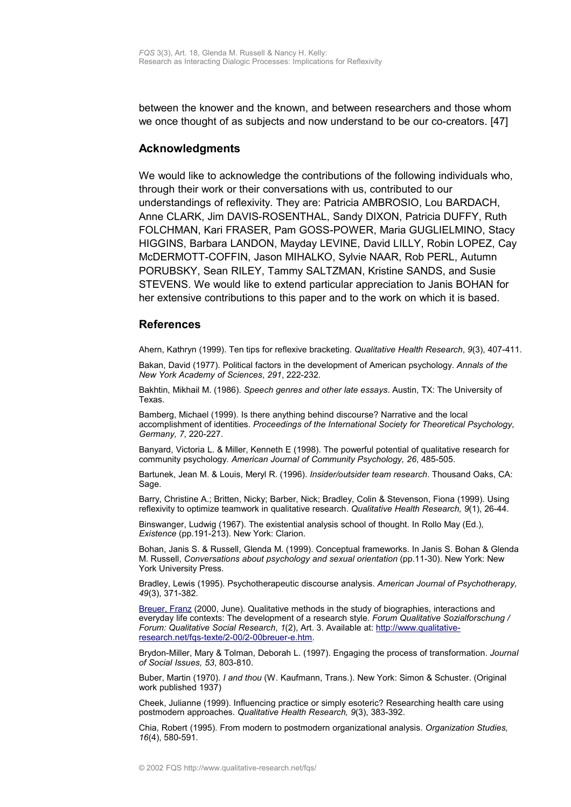between the knower and the known, and between researchers and those whom we once thought of as subjects and now understand to be our co-creators. [47]

#### <span id="page-15-1"></span>**Acknowledgments**

We would like to acknowledge the contributions of the following individuals who, through their work or their conversations with us, contributed to our understandings of reflexivity. They are: Patricia AMBROSIO, Lou BARDACH, Anne CLARK, Jim DAVIS-ROSENTHAL, Sandy DIXON, Patricia DUFFY, Ruth FOLCHMAN, Kari FRASER, Pam GOSS-POWER, Maria GUGLIELMINO, Stacy HIGGINS, Barbara LANDON, Mayday LEVINE, David LILLY, Robin LOPEZ, Cay McDERMOTT-COFFIN, Jason MIHALKO, Sylvie NAAR, Rob PERL, Autumn PORUBSKY, Sean RILEY, Tammy SALTZMAN, Kristine SANDS, and Susie STEVENS. We would like to extend particular appreciation to Janis BOHAN for her extensive contributions to this paper and to the work on which it is based.

#### <span id="page-15-0"></span>**References**

Ahern, Kathryn (1999). Ten tips for reflexive bracketing. *Qualitative Health Research*, *9*(3), 407-411.

Bakan, David (1977). Political factors in the development of American psychology. *Annals of the New York Academy of Sciences*, *291*, 222-232.

Bakhtin, Mikhail M. (1986). *Speech genres and other late essays*. Austin, TX: The University of Texas.

Bamberg, Michael (1999). Is there anything behind discourse? Narrative and the local accomplishment of identities. *Proceedings of the International Society for Theoretical Psychology, Germany, 7*, 220-227.

Banyard, Victoria L. & Miller, Kenneth E (1998). The powerful potential of qualitative research for community psychology. *American Journal of Community Psychology, 26*, 485-505.

Bartunek, Jean M. & Louis, Meryl R. (1996). *Insider/outsider team research*. Thousand Oaks, CA: Sage.

Barry, Christine A.; Britten, Nicky; Barber, Nick; Bradley, Colin & Stevenson, Fiona (1999). Using reflexivity to optimize teamwork in qualitative research. *Qualitative Health Research, 9*(1), 26-44.

Binswanger, Ludwig (1967). The existential analysis school of thought. In Rollo May (Ed.), *Existence* (pp.191-213). New York: Clarion.

Bohan, Janis S. & Russell, Glenda M. (1999). Conceptual frameworks. In Janis S. Bohan & Glenda M. Russell, *Conversations about psychology and sexual orientation* (pp.11-30). New York: New York University Press.

Bradley, Lewis (1995). Psychotherapeutic discourse analysis. *American Journal of Psychotherapy, 49*(3), 371-382.

[Breuer, Franz](http://www.qualitative-research.net/fqs/impressum/breuer-e.htm) (2000, June). Qualitative methods in the study of biographies, interactions and everyday life contexts: The development of a research style. *Forum Qualitative Sozialforschung / Forum: Qualitative Social Research*, *1*(2), Art. 3. Available at: [http://www.qualitative](http://www.qualitative-research.net/fqs-texte/2-00/2-00breuer-e.htm)[research.net/fqs-texte/2-00/2-00breuer-e.htm.](http://www.qualitative-research.net/fqs-texte/2-00/2-00breuer-e.htm)

Brydon-Miller, Mary & Tolman, Deborah L. (1997). Engaging the process of transformation. *Journal of Social Issues, 53*, 803-810.

Buber, Martin (1970). *I and thou* (W. Kaufmann, Trans.). New York: Simon & Schuster. (Original work published 1937)

Cheek, Julianne (1999). Influencing practice or simply esoteric? Researching health care using postmodern approaches. *Qualitative Health Research, 9*(3), 383-392.

Chia, Robert (1995). From modern to postmodern organizational analysis. *Organization Studies, 16*(4), 580-591.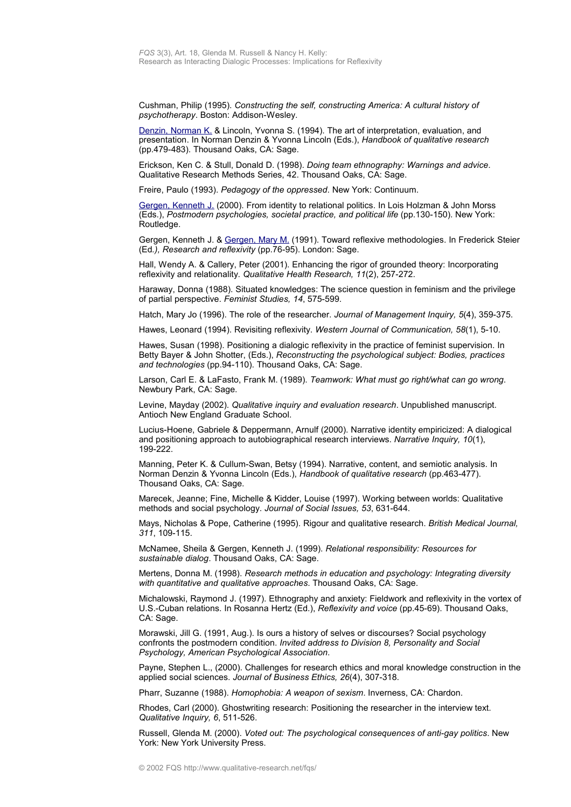Cushman, Philip (1995). *Constructing the self, constructing America: A cultural history of psychotherapy*. Boston: Addison-Wesley.

[Denzin, Norman K.](http://www.qualitative-research.net/fqs/beirat/denzin-e.htm) & Lincoln, Yvonna S. (1994). The art of interpretation, evaluation, and presentation. In Norman Denzin & Yvonna Lincoln (Eds.), *Handbook of qualitative research* (pp.479-483). Thousand Oaks, CA: Sage.

Erickson, Ken C. & Stull, Donald D. (1998). *Doing team ethnography: Warnings and advice*. Qualitative Research Methods Series, 42. Thousand Oaks, CA: Sage.

Freire, Paulo (1993). *Pedagogy of the oppressed*. New York: Continuum.

[Gergen, Kenneth J.](http://www.qualitative-research.net/fqs/beirat/gergen-ken-e.htm) (2000). From identity to relational politics. In Lois Holzman & John Morss (Eds.), *Postmodern psychologies, societal practice, and political life* (pp.130-150). New York: Routledge.

Gergen, Kenneth J. & [Gergen, Mary M.](http://www.qualitative-research.net/fqs/beirat/gergen-mary-e.htm) (1991). Toward reflexive methodologies. In Frederick Steier (Ed*.), Research and reflexivity* (pp.76-95). London: Sage.

Hall, Wendy A. & Callery, Peter (2001). Enhancing the rigor of grounded theory: Incorporating reflexivity and relationality. *Qualitative Health Research, 11*(2), 257-272.

Haraway, Donna (1988). Situated knowledges: The science question in feminism and the privilege of partial perspective. *Feminist Studies, 14*, 575-599.

Hatch, Mary Jo (1996). The role of the researcher. *Journal of Management Inquiry, 5*(4), 359-375.

Hawes, Leonard (1994). Revisiting reflexivity. *Western Journal of Communication, 58*(1), 5-10.

Hawes, Susan (1998). Positioning a dialogic reflexivity in the practice of feminist supervision. In Betty Bayer & John Shotter, (Eds.), *Reconstructing the psychological subject: Bodies, practices and technologies* (pp.94-110). Thousand Oaks, CA: Sage.

Larson, Carl E. & LaFasto, Frank M. (1989). *Teamwork: What must go right/what can go wrong*. Newbury Park, CA: Sage.

Levine, Mayday (2002). *Qualitative inquiry and evaluation research*. Unpublished manuscript. Antioch New England Graduate School.

Lucius-Hoene, Gabriele & Deppermann, Arnulf (2000). Narrative identity empiricized: A dialogical and positioning approach to autobiographical research interviews. *Narrative Inquiry, 10*(1), 199-222.

Manning, Peter K. & Cullum-Swan, Betsy (1994). Narrative, content, and semiotic analysis. In Norman Denzin & Yvonna Lincoln (Eds.), *Handbook of qualitative research* (pp.463-477). Thousand Oaks, CA: Sage.

Marecek, Jeanne; Fine, Michelle & Kidder, Louise (1997). Working between worlds: Qualitative methods and social psychology. *Journal of Social Issues, 53*, 631-644.

Mays, Nicholas & Pope, Catherine (1995). Rigour and qualitative research. *British Medical Journal, 311*, 109-115.

McNamee, Sheila & Gergen, Kenneth J. (1999). *Relational responsibility: Resources for sustainable dialog*. Thousand Oaks, CA: Sage.

Mertens, Donna M. (1998). *Research methods in education and psychology: Integrating diversity with quantitative and qualitative approaches*. Thousand Oaks, CA: Sage.

Michalowski, Raymond J. (1997). Ethnography and anxiety: Fieldwork and reflexivity in the vortex of U.S.-Cuban relations. In Rosanna Hertz (Ed.), *Reflexivity and voice* (pp.45-69). Thousand Oaks, CA: Sage.

Morawski, Jill G. (1991, Aug.). Is ours a history of selves or discourses? Social psychology confronts the postmodern condition. *Invited address to Division 8, Personality and Social Psychology, American Psychological Association*.

Payne, Stephen L., (2000). Challenges for research ethics and moral knowledge construction in the applied social sciences. *Journal of Business Ethics, 26*(4), 307-318.

Pharr, Suzanne (1988). *Homophobia: A weapon of sexism*. Inverness, CA: Chardon.

Rhodes, Carl (2000). Ghostwriting research: Positioning the researcher in the interview text. *Qualitative Inquiry, 6*, 511-526.

Russell, Glenda M. (2000). *Voted out: The psychological consequences of anti-gay politics*. New York: New York University Press.